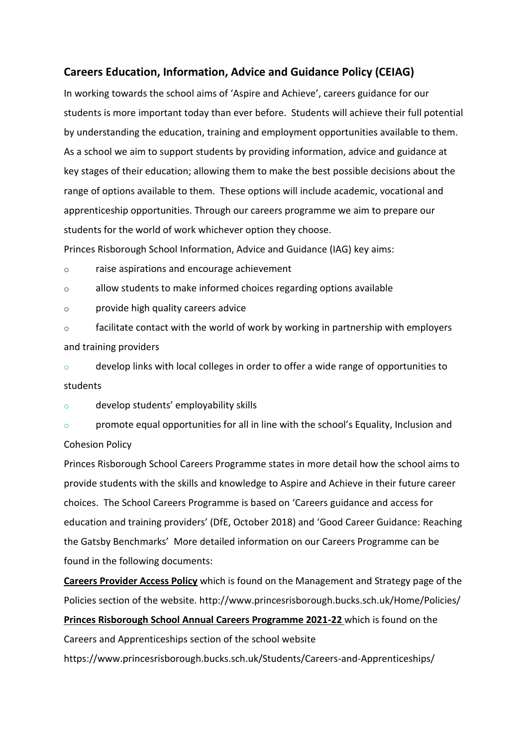# **Careers Education, Information, Advice and Guidance Policy (CEIAG)**

In working towards the school aims of 'Aspire and Achieve', careers guidance for our students is more important today than ever before. Students will achieve their full potential by understanding the education, training and employment opportunities available to them. As a school we aim to support students by providing information, advice and guidance at key stages of their education; allowing them to make the best possible decisions about the range of options available to them. These options will include academic, vocational and apprenticeship opportunities. Through our careers programme we aim to prepare our students for the world of work whichever option they choose.

Princes Risborough School Information, Advice and Guidance (IAG) key aims:

o raise aspirations and encourage achievement

o allow students to make informed choices regarding options available

o provide high quality careers advice

o facilitate contact with the world of work by working in partnership with employers and training providers

 $\circ$  develop links with local colleges in order to offer a wide range of opportunities to students

o develop students' employability skills

o promote equal opportunities for all in line with the school's Equality, Inclusion and Cohesion Policy

Princes Risborough School Careers Programme states in more detail how the school aims to provide students with the skills and knowledge to Aspire and Achieve in their future career choices. The School Careers Programme is based on 'Careers guidance and access for education and training providers' (DfE, October 2018) and 'Good Career Guidance: Reaching the Gatsby Benchmarks' More detailed information on our Careers Programme can be found in the following documents:

**Careers Provider Access Policy** which is found on the Management and Strategy page of the Policies section of the website. http://www.princesrisborough.bucks.sch.uk/Home/Policies/ **Princes Risborough School Annual Careers Programme 2021-22** which is found on the Careers and Apprenticeships section of the school website https://www.princesrisborough.bucks.sch.uk/Students/Careers-and-Apprenticeships/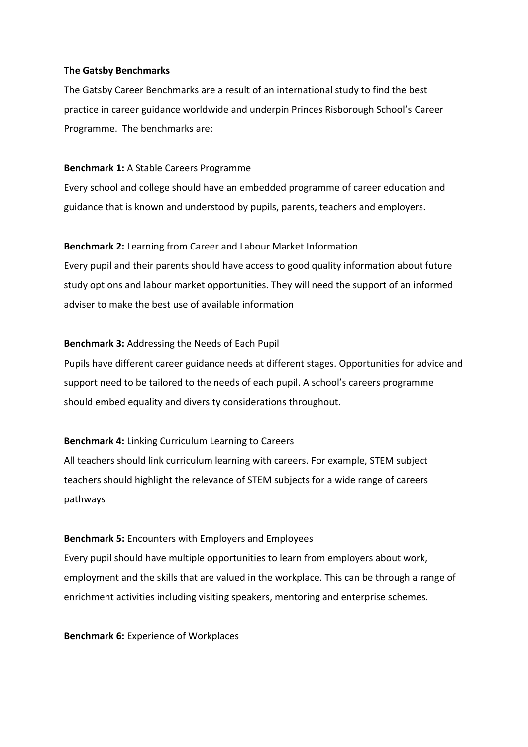#### **The Gatsby Benchmarks**

The Gatsby Career Benchmarks are a result of an international study to find the best practice in career guidance worldwide and underpin Princes Risborough School's Career Programme. The benchmarks are:

#### **Benchmark 1:** A Stable Careers Programme

Every school and college should have an embedded programme of career education and guidance that is known and understood by pupils, parents, teachers and employers.

# **Benchmark 2:** Learning from Career and Labour Market Information

Every pupil and their parents should have access to good quality information about future study options and labour market opportunities. They will need the support of an informed adviser to make the best use of available information

# **Benchmark 3:** Addressing the Needs of Each Pupil

Pupils have different career guidance needs at different stages. Opportunities for advice and support need to be tailored to the needs of each pupil. A school's careers programme should embed equality and diversity considerations throughout.

# **Benchmark 4:** Linking Curriculum Learning to Careers

All teachers should link curriculum learning with careers. For example, STEM subject teachers should highlight the relevance of STEM subjects for a wide range of careers pathways

# **Benchmark 5:** Encounters with Employers and Employees

Every pupil should have multiple opportunities to learn from employers about work, employment and the skills that are valued in the workplace. This can be through a range of enrichment activities including visiting speakers, mentoring and enterprise schemes.

**Benchmark 6:** Experience of Workplaces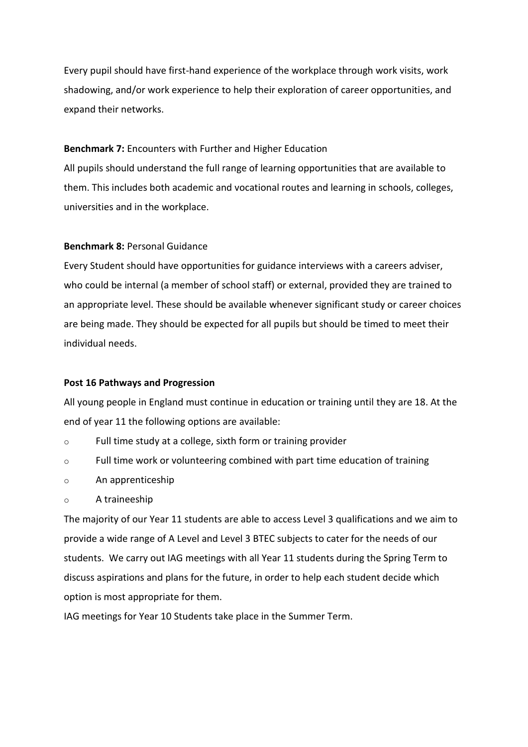Every pupil should have first-hand experience of the workplace through work visits, work shadowing, and/or work experience to help their exploration of career opportunities, and expand their networks.

#### **Benchmark 7:** Encounters with Further and Higher Education

All pupils should understand the full range of learning opportunities that are available to them. This includes both academic and vocational routes and learning in schools, colleges, universities and in the workplace.

#### **Benchmark 8:** Personal Guidance

Every Student should have opportunities for guidance interviews with a careers adviser, who could be internal (a member of school staff) or external, provided they are trained to an appropriate level. These should be available whenever significant study or career choices are being made. They should be expected for all pupils but should be timed to meet their individual needs.

#### **Post 16 Pathways and Progression**

All young people in England must continue in education or training until they are 18. At the end of year 11 the following options are available:

- o Full time study at a college, sixth form or training provider
- $\circ$  Full time work or volunteering combined with part time education of training
- o An apprenticeship
- o A traineeship

The majority of our Year 11 students are able to access Level 3 qualifications and we aim to provide a wide range of A Level and Level 3 BTEC subjects to cater for the needs of our students. We carry out IAG meetings with all Year 11 students during the Spring Term to discuss aspirations and plans for the future, in order to help each student decide which option is most appropriate for them.

IAG meetings for Year 10 Students take place in the Summer Term.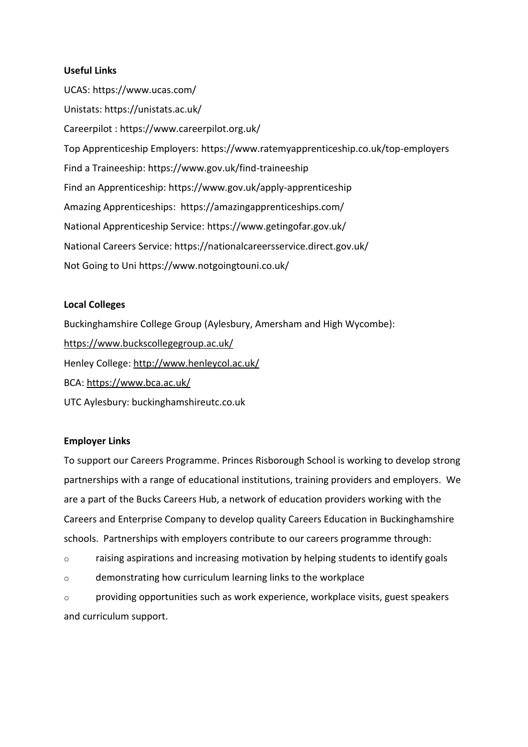# **Useful Links**

UCAS:<https://www.ucas.com/> Unistats:<https://unistats.ac.uk/> Careerpilot : https://www.careerpilot.org.uk/ Top Apprenticeship Employers:<https://www.ratemyapprenticeship.co.uk/top-employers> Find a Traineeship:<https://www.gov.uk/find-traineeship> Find an Apprenticeship:<https://www.gov.uk/apply-apprenticeship> Amazing Apprenticeships:<https://amazingapprenticeships.com/> National Apprenticeship Service:<https://www.getingofar.gov.uk/> National Careers Service:<https://nationalcareersservice.direct.gov.uk/> Not Going to Un[i https://www.notgoingtouni.co.uk/](https://www.notgoingtouni.co.uk/)

# **Local Colleges**

Buckinghamshire College Group (Aylesbury, Amersham and High Wycombe): <https://www.buckscollegegroup.ac.uk/> Henley College:<http://www.henleycol.ac.uk/> BCA:<https://www.bca.ac.uk/> UTC Aylesbury: buckinghamshireutc.co.uk

# **Employer Links**

To support our Careers Programme. Princes Risborough School is working to develop strong partnerships with a range of educational institutions, training providers and employers. We are a part of the Bucks Careers Hub, a network of education providers working with the Careers and Enterprise Company to develop quality Careers Education in Buckinghamshire schools. Partnerships with employers contribute to our careers programme through:

o raising aspirations and increasing motivation by helping students to identify goals

o demonstrating how curriculum learning links to the workplace

 $\circ$  providing opportunities such as work experience, workplace visits, guest speakers and curriculum support.